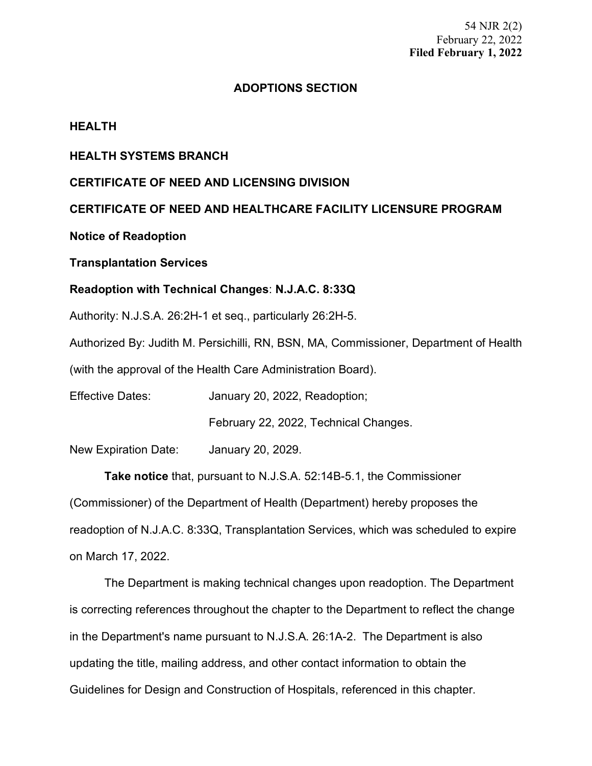# **ADOPTIONS SECTION**

## **HEALTH**

## **HEALTH SYSTEMS BRANCH**

## **CERTIFICATE OF NEED AND LICENSING DIVISION**

# **CERTIFICATE OF NEED AND HEALTHCARE FACILITY LICENSURE PROGRAM**

## **Notice of Readoption**

## **Transplantation Services**

## **Readoption with Technical Changes**: **N.J.A.C. 8:33Q**

Authority: N.J.S.A. 26:2H-1 et seq., particularly 26:2H-5.

Authorized By: Judith M. Persichilli, RN, BSN, MA, Commissioner, Department of Health

(with the approval of the Health Care Administration Board).

Effective Dates: January 20, 2022, Readoption;

February 22, 2022, Technical Changes.

New Expiration Date: January 20, 2029.

**Take notice** that, pursuant to N.J.S.A. 52:14B-5.1, the Commissioner (Commissioner) of the Department of Health (Department) hereby proposes the readoption of N.J.A.C. 8:33Q, Transplantation Services, which was scheduled to expire on March 17, 2022.

The Department is making technical changes upon readoption. The Department is correcting references throughout the chapter to the Department to reflect the change in the Department's name pursuant to [N.J.S.A. 26:1A-2.](https://advance.lexis.com/api/document?collection=statutes-legislation&id=urn:contentItem:5F0Y-C1R1-6F13-00JD-00000-00&context=1000516) The Department is also updating the title, mailing address, and other contact information to obtain the Guidelines for Design and Construction of Hospitals, referenced in this chapter.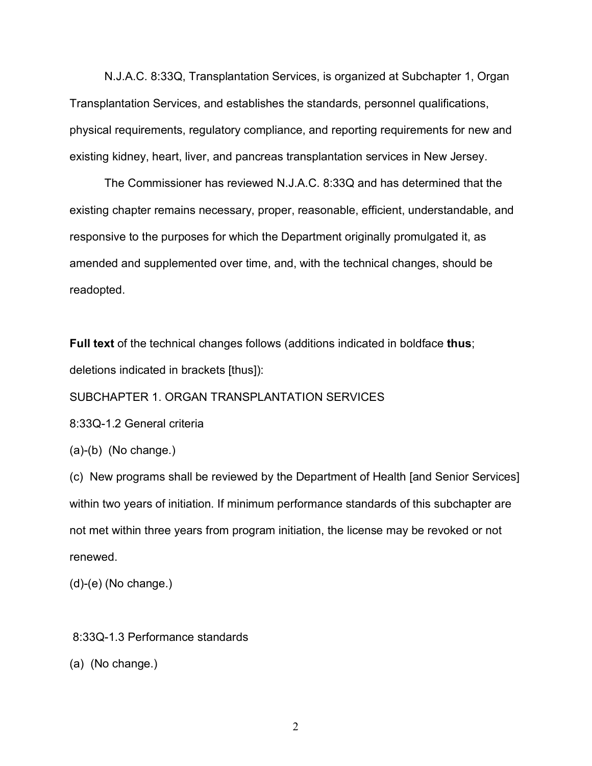N.J.A.C. 8:33Q, Transplantation Services, is organized at Subchapter 1, Organ Transplantation Services, and establishes the standards, personnel qualifications, physical requirements, regulatory compliance, and reporting requirements for new and existing kidney, heart, liver, and pancreas transplantation services in New Jersey.

The Commissioner has reviewed N.J.A.C. 8:33Q and has determined that the existing chapter remains necessary, proper, reasonable, efficient, understandable, and responsive to the purposes for which the Department originally promulgated it, as amended and supplemented over time, and, with the technical changes, should be readopted.

**Full text** of the technical changes follows (additions indicated in boldface **thus**; deletions indicated in brackets [thus]):

SUBCHAPTER 1. ORGAN TRANSPLANTATION SERVICES

8:33Q-1.2 General criteria

(a)-(b) (No change.)

(c) New programs shall be reviewed by the Department of Health [and Senior Services] within two years of initiation. If minimum performance standards of this subchapter are not met within three years from program initiation, the license may be revoked or not renewed.

(d)-(e) (No change.)

8:33Q-1.3 Performance standards

(a) (No change.)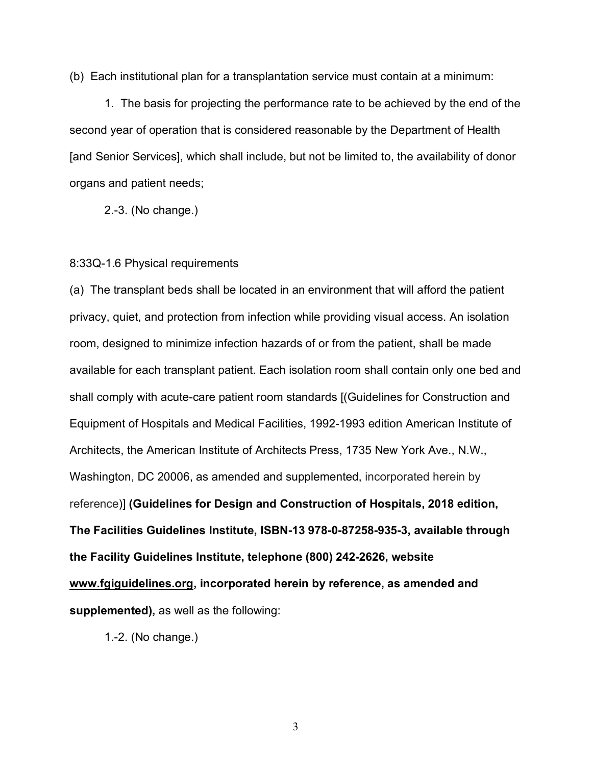(b) Each institutional plan for a transplantation service must contain at a minimum:

1. The basis for projecting the performance rate to be achieved by the end of the second year of operation that is considered reasonable by the Department of Health [and Senior Services], which shall include, but not be limited to, the availability of donor organs and patient needs;

2.-3. (No change.)

#### 8:33Q-1.6 Physical requirements

(a) The transplant beds shall be located in an environment that will afford the patient privacy, quiet, and protection from infection while providing visual access. An isolation room, designed to minimize infection hazards of or from the patient, shall be made available for each transplant patient. Each isolation room shall contain only one bed and shall comply with acute-care patient room standards [(Guidelines for Construction and Equipment of Hospitals and Medical Facilities, 1992-1993 edition American Institute of Architects, the American Institute of Architects Press, 1735 New York Ave., N.W., Washington, DC 20006, as amended and supplemented, incorporated herein by reference)] **(Guidelines for Design and Construction of Hospitals, 2018 edition, The Facilities Guidelines Institute, ISBN-13 978-0-87258-935-3, available through the Facility Guidelines Institute, telephone (800) 242-2626, website www.fgiguidelines.org, incorporated herein by reference, as amended and supplemented),** as well as the following:

1.-2. (No change.)

3